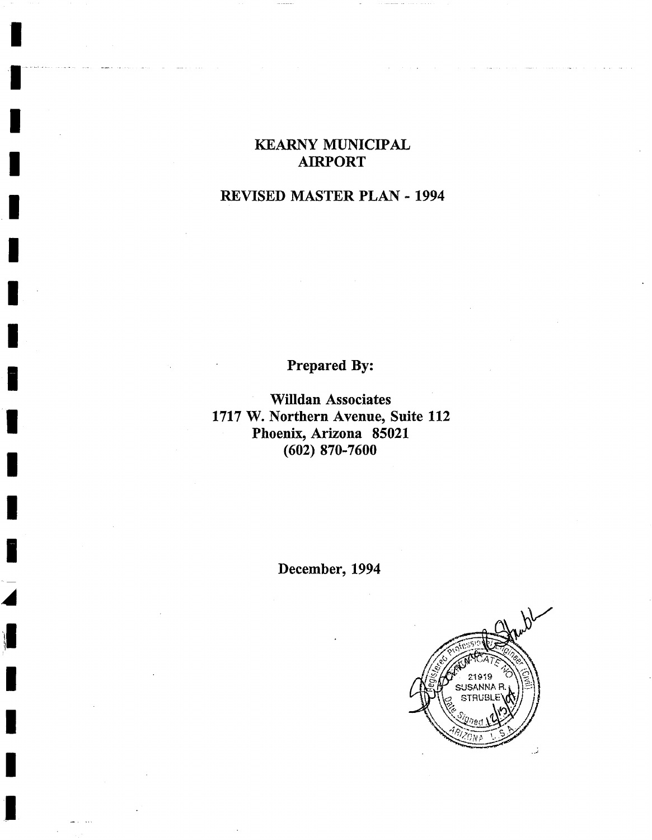# **KEARNY MUNICIPAL I AIRPORT**

I

**!** 

**I** 

**I** 

**I** 

**!** 

**1** 

## **i REVISED MASTER PLAN - 1994**

Prepared By:

**Willdan Associates I 1717 W. Northern Avenue, Suite 112 Phoenix, Arizona 85021 I (602) 870-7600** 

**i December, 1994** 

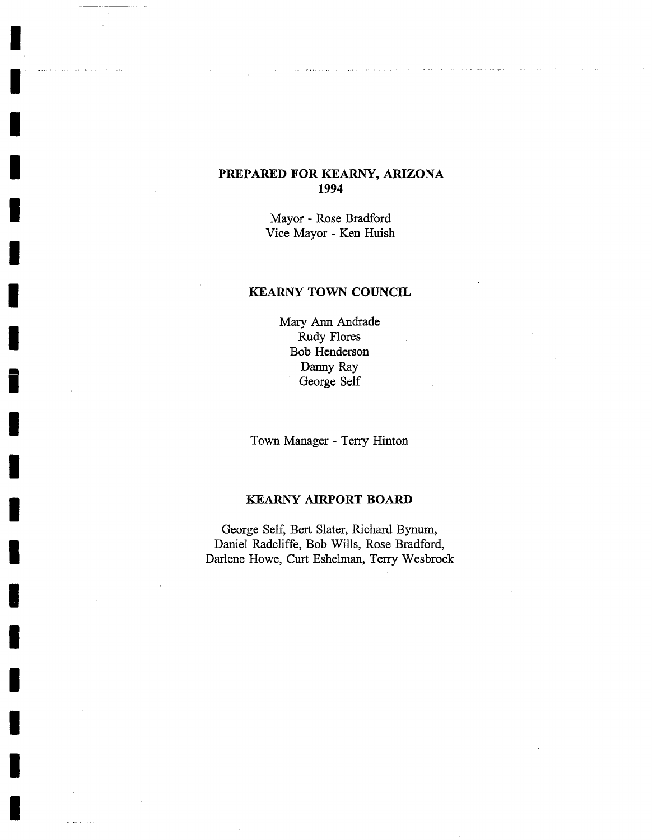### **PREPARED FOR KEARNY, ARIZONA 1994**

Mayor - Rose Bradford Vice Mayor - Ken Huish

#### KEARNY TOWN COUNCIL

Mary Ann Andrade Rudy Flores Bob Henderson Danny Ray George Self

Town Manager - Terry Hinton

#### KEARNY AIRPORT BOARD

George Self, Bert Slater, Richard Bynum, Daniel Radcliffe, Bob Wills, Rose Bradford, Darlene Howe, Curt Eshelman, Terry Wesbrock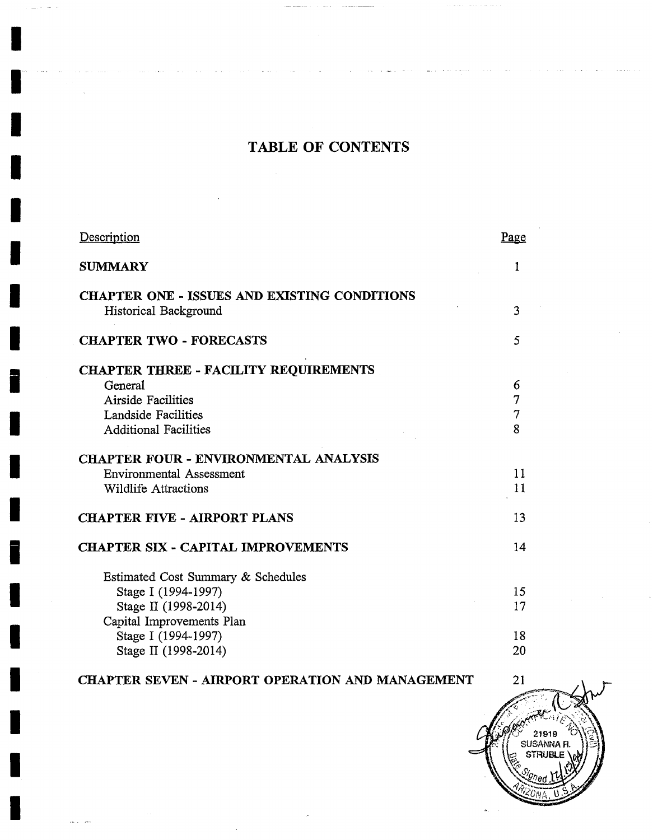# TABLE OF CONTENTS

**I** 

**I** 

**I** 

**I** 

*I* 

| Page                                                     |
|----------------------------------------------------------|
|                                                          |
| <b>CHAPTER ONE - ISSUES AND EXISTING CONDITIONS</b><br>3 |
| 5                                                        |
|                                                          |
| 6                                                        |
| 7                                                        |
| $\overline{7}$                                           |
| 8                                                        |
|                                                          |
| 11                                                       |
| 11                                                       |
| 13                                                       |
| 14                                                       |
|                                                          |
| 15                                                       |
| 17                                                       |
|                                                          |
| 18                                                       |
| 20                                                       |
|                                                          |

## **I CHAPTER SEVEN - AIRPORT OPERATION AND MANAGEMENT**  $21$

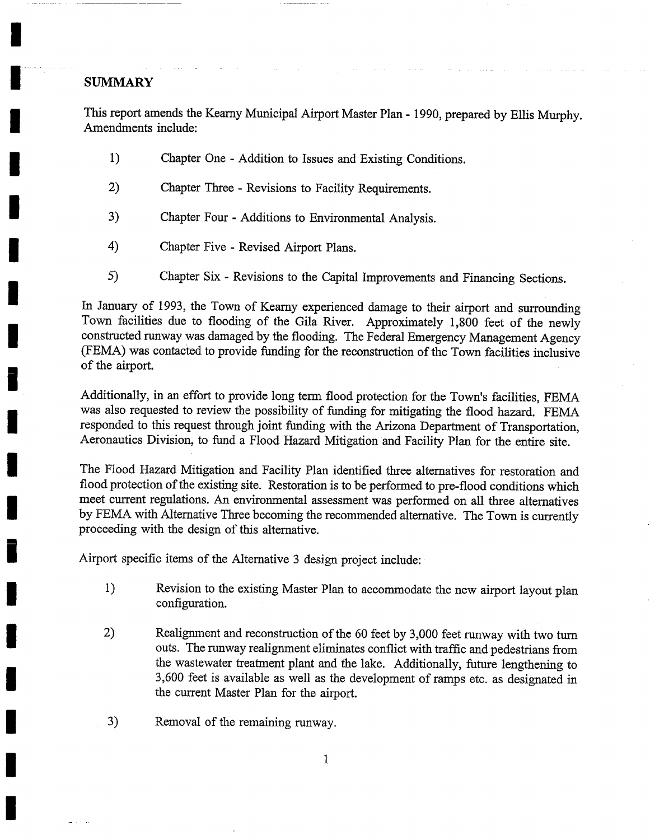#### **SUMMARY**

**I** 

I

**I** 

**I** 

**I** 

I .........

This report amends the Kearny Municipal Airport Master Plan - 1990, prepared by Ellis Murphy. Amendments include:

- 1) Chapter One Addition to Issues and Existing Conditions.
- **2)** Chapter Three Revisions to Facility Requirements.
- 3) Chapter Four Additions to Environmental Analysis.
- **4)** Chapter Five Revised Airport Plans.
- **5)** Chapter Six Revisions to the Capital Improvements and Financing Sections.

In January of 1993, the Town of Kearny experienced damage to their airport and surrounding Town facilities due to flooding of the Gila River. Approximately 1,800 feet of the newly constructed runway was damaged by the flooding. The Federal Emergency Management Agency (FEMA) was contacted to provide funding for the reconstruction of the Town facilities inclusive of the airport.

Additionally, in an effort to provide long term flood protection for the Town's facilities, FEMA was also requested to review the possibility of fimding for mitigating the flood hazard. FEMA responded to this request through joint funding with the Arizona Department of Transportation, Aeronautics Division, to fund a Flood Hazard Mitigation and Facility Plan for the entire site.

The Flood Hazard Mitigation and Facility Plan identified three altematives for restoration and flood protection of the existing site. Restoration is to be performed to pre-flood conditions which meet current regulations. An environmental assessment was performed on all three alternatives by FEMA with Alternative Three becoming the recommended alternative. The Town is currently proceeding with the design of this alternative.

Airport specific items of the Alternative 3 design project include:

- 1) Revision to the existing Master Plan to accommodate the new airport layout plan configuration.
- **2)** Realignment and reconstruction of the 60 feet by 3,000 feet runway with two turn outs. The runway realignment eliminates conflict with traffic and pedestrians from the wastewater treatment plant and the lake. Additionally, future lengthening to 3,600 feet is available as well as the development of ramps etc. as designated in the current Master Plan for the airport.
- 3) Removal of the remaining runway.